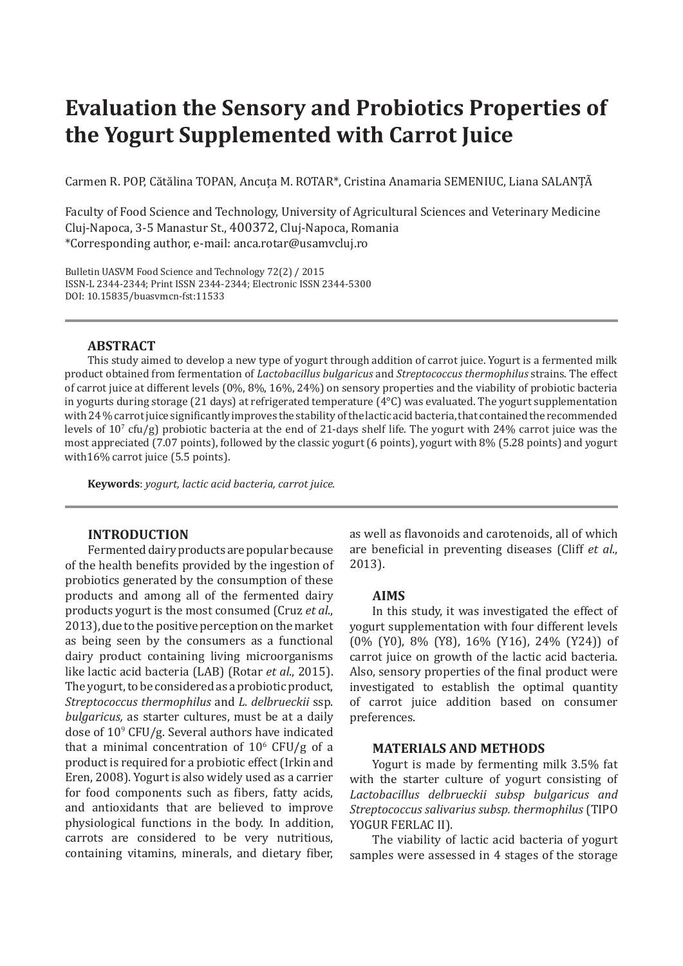# **Evaluation the Sensory and Probiotics Properties of the Yogurt Supplemented with Carrot Juice**

Carmen R. POP, Cătălina TOPAN, Ancuţa M. ROTAR\*, Cristina Anamaria SEMENIUC, Liana SALANŢÃ

Faculty of Food Science and Technology, University of Agricultural Sciences and Veterinary Medicine Cluj-Napoca, 3-5 Manastur St., 400372, Cluj-Napoca, Romania \*Corresponding author, e-mail: anca.rotar@usamvcluj.ro

Bulletin UASVM Food Science and Technology 72(2) / 2015 ISSN-L 2344-2344; Print ISSN 2344-2344; Electronic ISSN 2344-5300 DOI: 10.15835/buasvmcn-fst:11533

# **ABSTRACT**

This study aimed to develop a new type of yogurt through addition of carrot juice. Yogurt is a fermented milk product obtained from fermentation of *Lactobacillus bulgaricus* and *Streptococcus thermophilus* strains. The effect of carrot juice at different levels (0%, 8%, 16%, 24%) on sensory properties and the viability of probiotic bacteria in yogurts during storage (21 days) at refrigerated temperature  $(4^{\circ}C)$  was evaluated. The yogurt supplementation with 24% carrot juice significantly improves the stability of the lactic acid bacteria, that contained the recommended levels of  $10^7$  cfu/g) probiotic bacteria at the end of 21-days shelf life. The yogurt with 24% carrot juice was the most appreciated (7.07 points), followed by the classic yogurt (6 points), yogurt with 8% (5.28 points) and yogurt with16% carrot juice (5.5 points).

**Keywords**: *yogurt, lactic acid bacteria, carrot juice.*

## **INTRODUCTION**

Fermented dairy products are popular because of the health benefits provided by the ingestion of probiotics generated by the consumption of these products and among all of the fermented dairy products yogurt is the most consumed (Cruz *et al*., 2013), due to the positive perception on the market as being seen by the consumers as a functional dairy product containing living microorganisms like lactic acid bacteria (LAB) (Rotar *et al*., 2015). The yogurt, to be considered as a probiotic product, *Streptococcus thermophilus* and *L. delbrueckii* ssp. *bulgaricus,* as starter cultures, must be at a daily dose of 109 CFU/g. Several authors have indicated that a minimal concentration of  $10^6$  CFU/g of a product is required for a probiotic effect(Irkin and Eren, 2008). Yogurt is also widely used as a carrier for food components such as fibers, fatty acids, and antioxidants that are believed to improve physiological functions in the body. In addition, carrots are considered to be very nutritious, containing vitamins, minerals, and dietary fiber,

as well as flavonoids and carotenoids, all of which are beneficial in preventing diseases (Cliff *et al*., 2013).

#### **AIMS**

In this study, it was investigated the effect of yogurt supplementation with four different levels (0% (Y0), 8% (Y8), 16% (Y16), 24% (Y24)) of carrot juice on growth of the lactic acid bacteria. Also, sensory properties of the final product were investigated to establish the optimal quantity of carrot juice addition based on consumer preferences.

### **MATERIALS AND METHODS**

Yogurt is made by fermenting milk 3.5% fat with the starter culture of yogurt consisting of *Lactobacillus delbrueckii subsp bulgaricus and Streptococcus salivarius subsp. thermophilus* (TIPO YOGUR FERLAC II).

The viability of lactic acid bacteria of yogurt samples were assessed in 4 stages of the storage